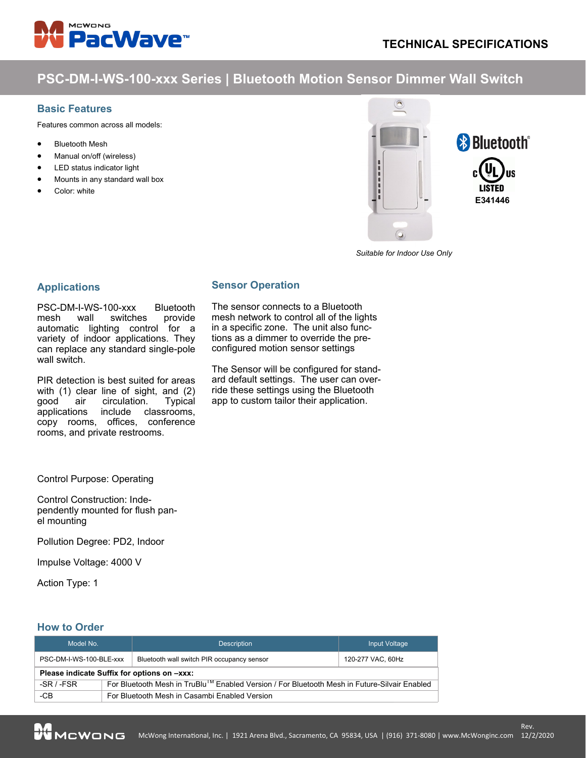

# **PSC-DM-I-WS-100-xxx Series | Bluetooth Motion Sensor Dimmer Wall Switch**

**Sensor Operation**

The sensor connects to a Bluetooth mesh network to control all of the lights in a specific zone. The unit also functions as a dimmer to override the preconfigured motion sensor settings

The Sensor will be configured for standard default settings. The user can override these settings using the Bluetooth app to custom tailor their application.

#### **Basic Features**

Features common across all models:

- **Bluetooth Mesh**
- Manual on/off (wireless)
- LED status indicator light
- Mounts in any standard wall box
- Color: white



*Suitable for Indoor Use Only*

### **Applications**

PSC-DM-I-WS-100-xxx Bluetooth mesh wall switches provide automatic lighting control for a variety of indoor applications. They can replace any standard single-pole wall switch.

PIR detection is best suited for areas with (1) clear line of sight, and (2) good air circulation. Typical applications include classrooms, copy rooms, offices, conference rooms, and private restrooms.

Control Purpose: Operating

Control Construction: Independently mounted for flush panel mounting

Pollution Degree: PD2, Indoor

Impulse Voltage: 4000 V

Action Type: 1

## **How to Order**

| Model No.                                   |                                                                                                          | <b>Description</b>                         | Input Voltage     |  |
|---------------------------------------------|----------------------------------------------------------------------------------------------------------|--------------------------------------------|-------------------|--|
| PSC-DM-I-WS-100-BLE-xxx                     |                                                                                                          | Bluetooth wall switch PIR occupancy sensor | 120-277 VAC, 60Hz |  |
| Please indicate Suffix for options on -xxx: |                                                                                                          |                                            |                   |  |
| $-SR / -FSR$                                | For Bluetooth Mesh in TruBlu <sup>™</sup> Enabled Version / For Bluetooth Mesh in Future-Silvair Enabled |                                            |                   |  |
| -CB                                         | For Bluetooth Mesh in Casambi Enabled Version                                                            |                                            |                   |  |